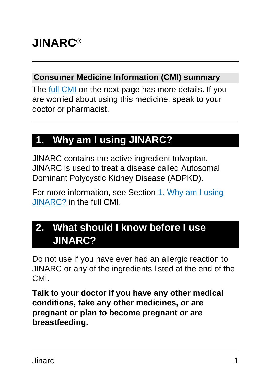# **JINARC®**

#### **Consumer Medicine Information (CMI) summary**

The [full CMI](#page-4-0) on the next page has more details. If you are worried about using this medicine, speak to your doctor or pharmacist.

# **1. Why am I using JINARC?**

JINARC contains the active ingredient tolvaptan. JINARC is used to treat a disease called Autosomal Dominant Polycystic Kidney Disease (ADPKD).

For more information, see Section [1. Why am I using](#page-4-1) [JINARC?](#page-4-1) in the full CMI.

# **2. What should I know before I use JINARC?**

Do not use if you have ever had an allergic reaction to JINARC or any of the ingredients listed at the end of the CMI.

**Talk to your doctor if you have any other medical conditions, take any other medicines, or are pregnant or plan to become pregnant or are breastfeeding.**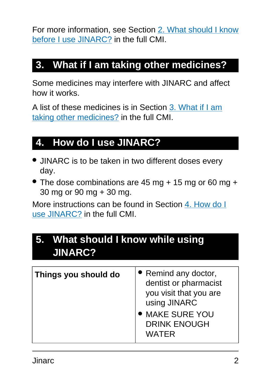For more information, see Section [2. What should I know](#page-5-0) [before I use JINARC?](#page-5-0) in the full CMI.

### **3. What if I am taking other medicines?**

Some medicines may interfere with JINARC and affect how it works.

A list of these medicines is in Section [3. What if I am](#page-7-0) [taking other medicines?](#page-7-0) in the full CMI.

# **4. How do I use JINARC?**

- JINARC is to be taken in two different doses every day.
- The dose combinations are 45 mg + 15 mg or 60 mg + 30 mg or 90 mg + 30 mg.

More instructions can be found in Section [4. How do I](#page-9-0) [use JINARC?](#page-9-0) in the full CMI.

### **5. What should I know while using JINARC?**

| Things you should do | • Remind any doctor,<br>dentist or pharmacist<br>you visit that you are<br>using JINARC<br><b>MAKE SURE YOU</b><br><b>DRINK ENOUGH</b><br><b>WATER</b> |
|----------------------|--------------------------------------------------------------------------------------------------------------------------------------------------------|
|----------------------|--------------------------------------------------------------------------------------------------------------------------------------------------------|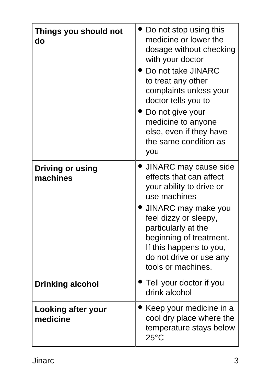| Things you should not<br>do         | Do not stop using this<br>medicine or lower the<br>dosage without checking<br>with your doctor<br>Do not take JINARC<br>to treat any other<br>complaints unless your<br>doctor tells you to<br>• Do not give your<br>medicine to anyone<br>else, even if they have<br>the same condition as<br>you |
|-------------------------------------|----------------------------------------------------------------------------------------------------------------------------------------------------------------------------------------------------------------------------------------------------------------------------------------------------|
| <b>Driving or using</b><br>machines | • JINARC may cause side<br>effects that can affect<br>your ability to drive or<br>use machines<br>· JINARC may make you<br>feel dizzy or sleepy,<br>particularly at the<br>beginning of treatment.<br>If this happens to you,<br>do not drive or use any<br>tools or machines.                     |
| <b>Drinking alcohol</b>             | Tell your doctor if you<br>drink alcohol                                                                                                                                                                                                                                                           |
| Looking after your<br>medicine      | Keep your medicine in a<br>cool dry place where the<br>temperature stays below<br>$25^{\circ}$ C                                                                                                                                                                                                   |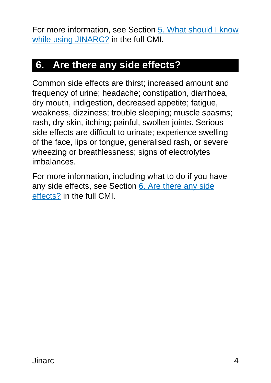For more information, see Section [5. What should I know](#page-11-0) [while using JINARC?](#page-11-0) in the full CMI.

## **6. Are there any side effects?**

Common side effects are thirst; increased amount and frequency of urine; headache; constipation, diarrhoea, dry mouth, indigestion, decreased appetite; fatigue, weakness, dizziness; trouble sleeping; muscle spasms; rash, dry skin, itching; painful, swollen joints. Serious side effects are difficult to urinate; experience swelling of the face, lips or tongue, generalised rash, or severe wheezing or breathlessness; signs of electrolytes imbalances.

For more information, including what to do if you have any side effects, see Section [6. Are there any side](#page-15-0) [effects?](#page-15-0) in the full CMI.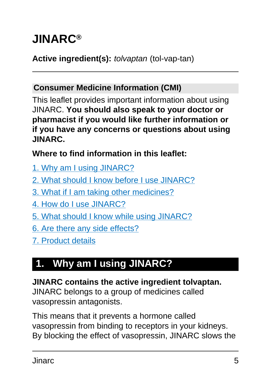# <span id="page-4-0"></span>**JINARC®**

#### Active ingredient(s): *tolvaptan* (tol-vap-tan)

#### **Consumer Medicine Information (CMI)**

This leaflet provides important information about using JINARC. **You should also speak to your doctor or pharmacist if you would like further information or if you have any concerns or questions about using JINARC.**

**Where to find information in this leaflet:**

- [1. Why am I using JINARC?](#page-4-1)
- [2. What should I know before I use JINARC?](#page-5-0)
- [3. What if I am taking other medicines?](#page-7-0)
- [4. How do I use JINARC?](#page-9-0)
- [5. What should I know while using JINARC?](#page-11-0)
- [6. Are there any side effects?](#page-15-0)
- [7. Product details](#page-18-0)

# <span id="page-4-1"></span>**1. Why am I using JINARC?**

#### **JINARC contains the active ingredient tolvaptan.**

JINARC belongs to a group of medicines called vasopressin antagonists.

This means that it prevents a hormone called vasopressin from binding to receptors in your kidneys. By blocking the effect of vasopressin, JINARC slows the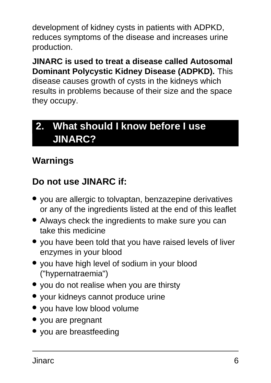development of kidney cysts in patients with ADPKD, reduces symptoms of the disease and increases urine production.

**JINARC is used to treat a disease called Autosomal Dominant Polycystic Kidney Disease (ADPKD).** This disease causes growth of cysts in the kidneys which results in problems because of their size and the space they occupy.

# <span id="page-5-0"></span>**2. What should I know before I use JINARC?**

### **Warnings**

### **Do not use JINARC if:**

- you are allergic to tolvaptan, benzazepine derivatives or any of the ingredients listed at the end of this leaflet
- Always check the ingredients to make sure you can take this medicine
- you have been told that you have raised levels of liver enzymes in your blood
- you have high level of sodium in your blood ("hypernatraemia")
- you do not realise when you are thirsty
- your kidneys cannot produce urine
- you have low blood volume
- you are pregnant
- you are breastfeeding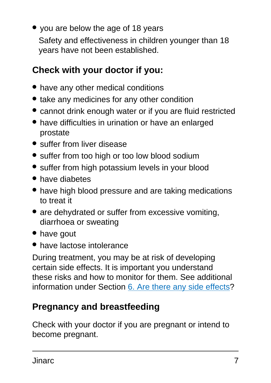• you are below the age of 18 years Safety and effectiveness in children younger than 18 years have not been established.

### **Check with your doctor if you:**

- have any other medical conditions
- take any medicines for any other condition
- cannot drink enough water or if you are fluid restricted
- have difficulties in urination or have an enlarged prostate
- suffer from liver disease
- suffer from too high or too low blood sodium
- suffer from high potassium levels in your blood
- have diabetes
- have high blood pressure and are taking medications to treat it
- are dehydrated or suffer from excessive vomiting, diarrhoea or sweating
- have gout
- have lactose intolerance

During treatment, you may be at risk of developing certain side effects. It is important you understand these risks and how to monitor for them. See additional information under Section [6. Are there any side effects](#page-15-0)?

### **Pregnancy and breastfeeding**

Check with your doctor if you are pregnant or intend to become pregnant.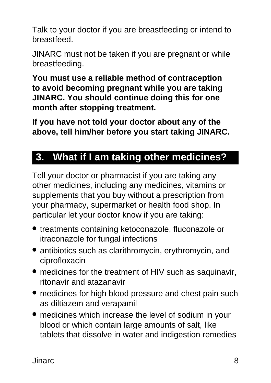Talk to your doctor if you are breastfeeding or intend to breastfeed.

JINARC must not be taken if you are pregnant or while breastfeeding.

**You must use a reliable method of contraception to avoid becoming pregnant while you are taking JINARC. You should continue doing this for one month after stopping treatment.**

**If you have not told your doctor about any of the above, tell him/her before you start taking JINARC.**

## <span id="page-7-0"></span>**3. What if I am taking other medicines?**

Tell your doctor or pharmacist if you are taking any other medicines, including any medicines, vitamins or supplements that you buy without a prescription from your pharmacy, supermarket or health food shop. In particular let your doctor know if you are taking:

- treatments containing ketoconazole, fluconazole or itraconazole for fungal infections
- antibiotics such as clarithromycin, erythromycin, and ciprofloxacin
- medicines for the treatment of HIV such as saquinavir, ritonavir and atazanavir
- medicines for high blood pressure and chest pain such as diltiazem and verapamil
- medicines which increase the level of sodium in your blood or which contain large amounts of salt, like tablets that dissolve in water and indigestion remedies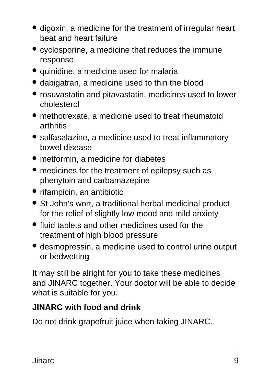- digoxin, a medicine for the treatment of irregular heart beat and heart failure
- cyclosporine, a medicine that reduces the immune response
- quinidine, a medicine used for malaria
- dabigatran, a medicine used to thin the blood
- rosuvastatin and pitavastatin, medicines used to lower cholesterol
- methotrexate, a medicine used to treat rheumatoid arthritis
- sulfasalazine, a medicine used to treat inflammatory bowel disease
- metformin, a medicine for diabetes
- medicines for the treatment of epilepsy such as phenytoin and carbamazepine
- rifampicin, an antibiotic
- St John's wort, a traditional herbal medicinal product for the relief of slightly low mood and mild anxiety
- fluid tablets and other medicines used for the treatment of high blood pressure
- desmopressin, a medicine used to control urine output or bedwetting

It may still be alright for you to take these medicines and JINARC together. Your doctor will be able to decide what is suitable for you.

#### **JINARC with food and drink**

Do not drink grapefruit juice when taking JINARC.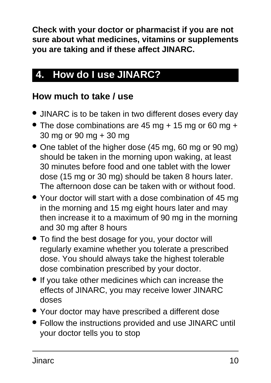**Check with your doctor or pharmacist if you are not sure about what medicines, vitamins or supplements you are taking and if these affect JINARC.**

# <span id="page-9-0"></span>**4. How do I use JINARC?**

#### **How much to take / use**

- JINARC is to be taken in two different doses every day
- The dose combinations are 45 mg + 15 mg or 60 mg + 30 mg or 90 mg + 30 mg
- One tablet of the higher dose (45 mg, 60 mg or 90 mg) should be taken in the morning upon waking, at least 30 minutes before food and one tablet with the lower dose (15 mg or 30 mg) should be taken 8 hours later. The afternoon dose can be taken with or without food.
- Your doctor will start with a dose combination of 45 mg in the morning and 15 mg eight hours later and may then increase it to a maximum of 90 mg in the morning and 30 mg after 8 hours
- To find the best dosage for you, your doctor will regularly examine whether you tolerate a prescribed dose. You should always take the highest tolerable dose combination prescribed by your doctor.
- If you take other medicines which can increase the effects of JINARC, you may receive lower JINARC doses
- Your doctor may have prescribed a different dose
- Follow the instructions provided and use JINARC until your doctor tells you to stop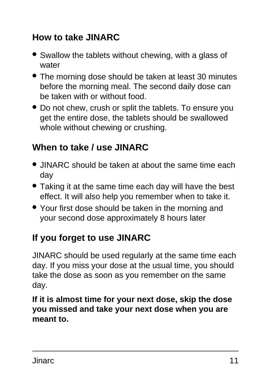### **How to take JINARC**

- Swallow the tablets without chewing, with a glass of water
- The morning dose should be taken at least 30 minutes before the morning meal. The second daily dose can be taken with or without food.
- Do not chew, crush or split the tablets. To ensure you get the entire dose, the tablets should be swallowed whole without chewing or crushing.

### **When to take / use JINARC**

- JINARC should be taken at about the same time each day
- Taking it at the same time each day will have the best effect. It will also help you remember when to take it.
- Your first dose should be taken in the morning and your second dose approximately 8 hours later

### **If you forget to use JINARC**

JINARC should be used regularly at the same time each day. If you miss your dose at the usual time, you should take the dose as soon as you remember on the same day.

**If it is almost time for your next dose, skip the dose you missed and take your next dose when you are meant to.**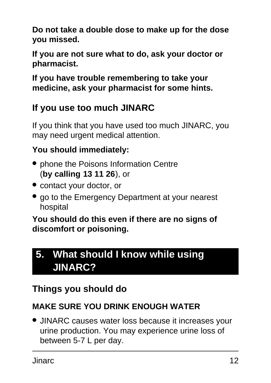**Do not take a double dose to make up for the dose you missed.**

**If you are not sure what to do, ask your doctor or pharmacist.**

**If you have trouble remembering to take your medicine, ask your pharmacist for some hints.**

### **If you use too much JINARC**

If you think that you have used too much JINARC, you may need urgent medical attention.

#### **You should immediately:**

- phone the Poisons Information Centre (**by calling 13 11 26**), or
- contact your doctor, or
- go to the Emergency Department at your nearest hospital

**You should do this even if there are no signs of discomfort or poisoning.**

## <span id="page-11-0"></span>**5. What should I know while using JINARC?**

### **Things you should do**

#### **MAKE SURE YOU DRINK ENOUGH WATER**

● JINARC causes water loss because it increases your urine production. You may experience urine loss of between 5-7 L per day.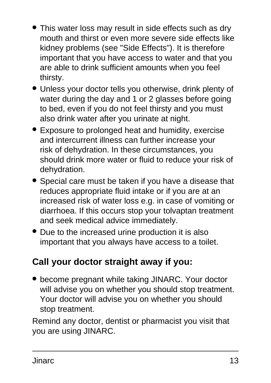- This water loss may result in side effects such as dry mouth and thirst or even more severe side effects like kidney problems (see "Side Effects"). It is therefore important that you have access to water and that you are able to drink sufficient amounts when you feel thirsty.
- Unless your doctor tells you otherwise, drink plenty of water during the day and 1 or 2 glasses before going to bed, even if you do not feel thirsty and you must also drink water after you urinate at night.
- Exposure to prolonged heat and humidity, exercise and intercurrent illness can further increase your risk of dehydration. In these circumstances, you should drink more water or fluid to reduce your risk of dehydration.
- Special care must be taken if you have a disease that reduces appropriate fluid intake or if you are at an increased risk of water loss e.g. in case of vomiting or diarrhoea. If this occurs stop your tolvaptan treatment and seek medical advice immediately.
- Due to the increased urine production it is also important that you always have access to a toilet.

#### **Call your doctor straight away if you:**

• become pregnant while taking JINARC. Your doctor will advise you on whether you should stop treatment. Your doctor will advise you on whether you should stop treatment.

Remind any doctor, dentist or pharmacist you visit that you are using JINARC.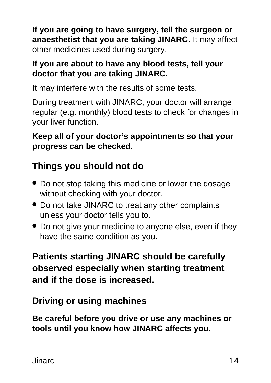**If you are going to have surgery, tell the surgeon or anaesthetist that you are taking JINARC**. It may affect other medicines used during surgery.

#### **If you are about to have any blood tests, tell your doctor that you are taking JINARC.**

It may interfere with the results of some tests.

During treatment with JINARC, your doctor will arrange regular (e.g. monthly) blood tests to check for changes in your liver function.

#### **Keep all of your doctor's appointments so that your progress can be checked.**

### **Things you should not do**

- Do not stop taking this medicine or lower the dosage without checking with your doctor.
- Do not take JINARC to treat any other complaints unless your doctor tells you to.
- Do not give your medicine to anyone else, even if they have the same condition as you.

### **Patients starting JINARC should be carefully observed especially when starting treatment and if the dose is increased.**

#### **Driving or using machines**

**Be careful before you drive or use any machines or tools until you know how JINARC affects you.**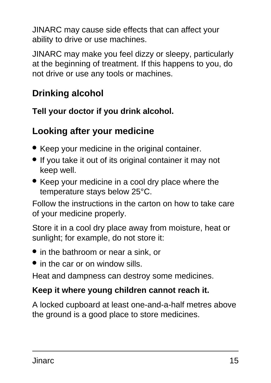JINARC may cause side effects that can affect your ability to drive or use machines.

JINARC may make you feel dizzy or sleepy, particularly at the beginning of treatment. If this happens to you, do not drive or use any tools or machines.

### **Drinking alcohol**

**Tell your doctor if you drink alcohol.**

#### **Looking after your medicine**

- Keep your medicine in the original container.
- If you take it out of its original container it may not keep well.
- Keep your medicine in a cool dry place where the temperature stays below 25°C.

Follow the instructions in the carton on how to take care of your medicine properly.

Store it in a cool dry place away from moisture, heat or sunlight; for example, do not store it:

- in the bathroom or near a sink, or
- in the car or on window sills.

Heat and dampness can destroy some medicines.

#### **Keep it where young children cannot reach it.**

A locked cupboard at least one-and-a-half metres above the ground is a good place to store medicines.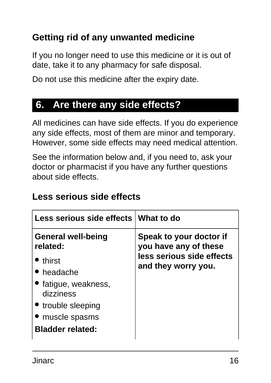#### **Getting rid of any unwanted medicine**

If you no longer need to use this medicine or it is out of date, take it to any pharmacy for safe disposal.

Do not use this medicine after the expiry date.

### <span id="page-15-0"></span>**6. Are there any side effects?**

All medicines can have side effects. If you do experience any side effects, most of them are minor and temporary. However, some side effects may need medical attention.

See the information below and, if you need to, ask your doctor or pharmacist if you have any further questions about side effects.

#### **Less serious side effects**

| Less serious side effects What to do  |                                                  |
|---------------------------------------|--------------------------------------------------|
| <b>General well-being</b><br>related: | Speak to your doctor if<br>you have any of these |
| • thirst                              | less serious side effects                        |
| • headache                            | and they worry you.                              |
| • fatigue, weakness,<br>dizziness     |                                                  |
| • trouble sleeping                    |                                                  |
| • muscle spasms                       |                                                  |
| <b>Bladder related:</b>               |                                                  |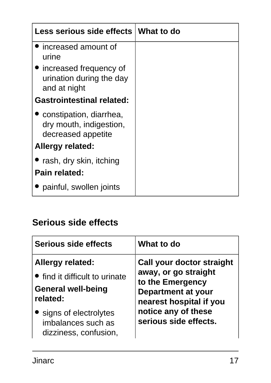| Less serious side effects                                                  | ∣ What to do |
|----------------------------------------------------------------------------|--------------|
| increased amount of<br>urine                                               |              |
| • increased frequency of<br>urination during the day<br>and at night       |              |
| <b>Gastrointestinal related:</b>                                           |              |
| • constipation, diarrhea,<br>dry mouth, indigestion,<br>decreased appetite |              |
| <b>Allergy related:</b>                                                    |              |
| • rash, dry skin, itching                                                  |              |
| Pain related:                                                              |              |
| painful, swollen joints                                                    |              |

### **Serious side effects**

| Serious side effects           | What to do                |
|--------------------------------|---------------------------|
| <b>Allergy related:</b>        | Call your doctor straight |
| • find it difficult to urinate | away, or go straight      |
| <b>General well-being</b>      | to the Emergency          |
| related:                       | <b>Department at your</b> |
| • signs of electrolytes        | nearest hospital if you   |
| imbalances such as             | notice any of these       |
| dizziness, confusion,          | serious side effects.     |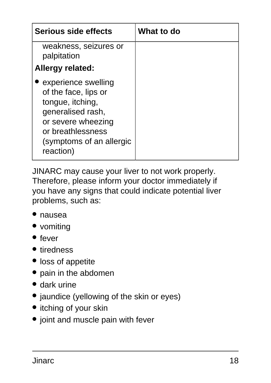| <b>Serious side effects</b>                                                                                                                                              | What to do |
|--------------------------------------------------------------------------------------------------------------------------------------------------------------------------|------------|
| weakness, seizures or<br>palpitation                                                                                                                                     |            |
| <b>Allergy related:</b>                                                                                                                                                  |            |
| experience swelling<br>of the face, lips or<br>tongue, itching,<br>generalised rash,<br>or severe wheezing<br>or breathlessness<br>(symptoms of an allergic<br>reaction) |            |

JINARC may cause your liver to not work properly. Therefore, please inform your doctor immediately if you have any signs that could indicate potential liver problems, such as:

- nausea
- vomiting
- fever
- tiredness
- loss of appetite
- pain in the abdomen
- dark urine
- jaundice (yellowing of the skin or eyes)
- itching of your skin
- joint and muscle pain with fever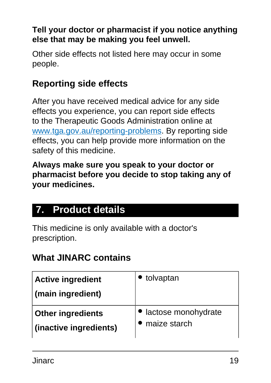#### **Tell your doctor or pharmacist if you notice anything else that may be making you feel unwell.**

Other side effects not listed here may occur in some people.

### **Reporting side effects**

After you have received medical advice for any side effects you experience, you can report side effects to the Therapeutic Goods Administration online at [www.tga.gov.au/reporting-problems.](http://www.tga.gov.au/reporting-problems) By reporting side effects, you can help provide more information on the safety of this medicine.

**Always make sure you speak to your doctor or pharmacist before you decide to stop taking any of your medicines.**

# <span id="page-18-0"></span>**7. Product details**

This medicine is only available with a doctor's prescription.

#### **What JINARC contains**

| <b>Active ingredient</b><br>(main ingredient) | tolvaptan             |
|-----------------------------------------------|-----------------------|
| <b>Other ingredients</b>                      | • lactose monohydrate |
| (inactive ingredients)                        | maize starch          |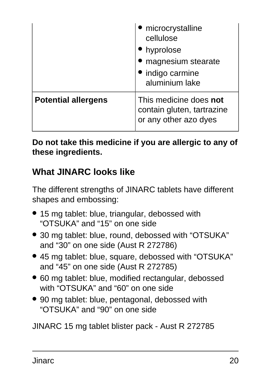|                            | microcrystalline<br>cellulose<br>hyprolose<br>magnesium stearate<br>indigo carmine<br>aluminium lake |
|----------------------------|------------------------------------------------------------------------------------------------------|
| <b>Potential allergens</b> | This medicine does not<br>contain gluten, tartrazine<br>or any other azo dyes                        |

**Do not take this medicine if you are allergic to any of these ingredients.**

#### **What JINARC looks like**

The different strengths of JINARC tablets have different shapes and embossing:

- 15 mg tablet: blue, triangular, debossed with "OTSUKA" and "15" on one side
- 30 mg tablet: blue, round, debossed with "OTSUKA" and "30" on one side (Aust R 272786)
- 45 mg tablet: blue, square, debossed with "OTSUKA" and "45" on one side (Aust R 272785)
- 60 mg tablet: blue, modified rectangular, debossed with "OTSUKA" and "60" on one side
- 90 mg tablet: blue, pentagonal, debossed with "OTSUKA" and "90" on one side

JINARC 15 mg tablet blister pack - Aust R 272785